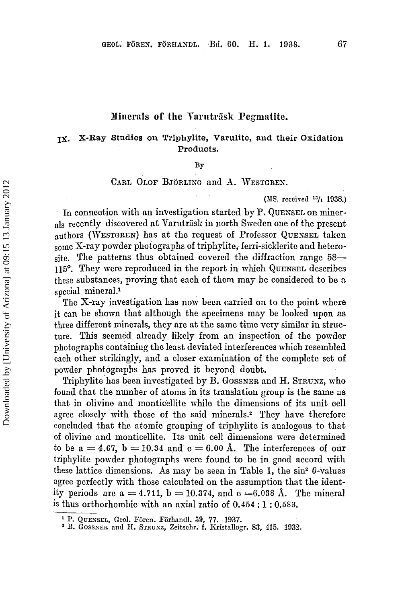#### **Xiiierals of the Vnriitriisk Pegmatite.**

# **IX. X-Rag** Studies on Triphylite, Varulito, and their Oxidation Products.

**BY** 

# **CARL OLOF BJORLIXG** and **A. WESTGREN.**

(JIS. **received 13/1 1935.)** 

In connection with an investigation started by P. QUENSEL on minerals recently discovered at Varutrask in north Sweden one of the present authors **(WESTGREN)** has at the request of Professor **QUENSEL** taken some X-ray powder photographs of triphylite, ferri-sicklerite and heterosite. The patterns thus obtained covered the diffraction range **58- 115'.** They mere reproduced in the report in which **QUENSEL** describes these substances, proving that each of them may be considered to be *a*  special mineral.'

The X-ray investigation has now been carried on to the point where it can be shown that although the specimens may be looked upon as three different minerals, they are at the same time very similar in structure. This seemed already likely from an inspection of the powder photographs containing the least deviated interferences which resembled each other strikingly, and a closer examination of the complete set of povider photographs has proved it beyond doubt.

Triphylite'has been investigated by **B. GOSSNER** and H. **STRUNZ,** who found that the number of atoms in its translation group is the same as that in olivine and monticellite while the dimensions of its unit cell agree closely with those of the said minerals.<sup>2</sup> They have therefore concluded that the atomic grouping of triphylite is analogous to that of olivine and monticellite. Its unit cell dimensions were determined to be  $a = 4.67$ ,  $b = 10.34$  and  $c = 6.00$  Å. The interferences of our triphylite porrder photographs were found to be in good accord with these lattice dimensions. As may be seen in Table 1, the  $\sin^2 \theta$ -values agree perfectly with those calculated on the assumption that the identity periods are  $a = 4.711$ ,  $b = 10.374$ , and  $c = 6.038$  Å. The mineral is thus orthorhombic with an axial ratio of **0.454** : 1 : **0,583.** 

**p. QUESSEL, Gcol. Forcn. Forhandl. 59, 77. 1037.** 

<sup>&</sup>lt;sup>2</sup> B. GOSSNER and H. STRUNZ, Zeitschr. f. Kristallogr. 83, 415. 1932.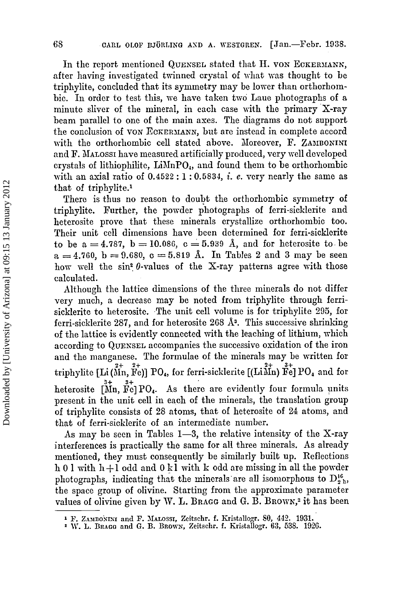In the report mentioned QUEXSEL stated that **11.** VON **ECKERJIANK,**  after having investigated twinned crystal of what was thought to be triphylite, concluded that its symmetry may be lower than orthorhombie. In order to test this, we have taken two Laue photographs of a minute sliver of the mineral, in each case vith the primary X-ray beam parallel to one of the main axes. The diagrams do not support the conclusion **of VON ECRERJIANN,** but are instead in complete accord with the orthorhombic cell stated above. Moreover, F. ZAMBONINI and F. MALOSSI have measured artificially produced, very well developed crystals of lithiophilite,  $\text{LiMnPO}_4$ , and found them to be orthorhombic with an axial ratio of **0.4522** : **1** : **0.5835,** *i.* **e.** very nearly the same as that of triphylite.1

There is thus no reason to doubt the orthorhombic symmetry of triphylite. Purther, the powder photographs of ferri-sicklerite and heterosite prove that these minerals crystallize orthorhombic too. Their unit cell dimensions have been determined for ferri-sicklerite to be  $a = 4.787$ ,  $b = 10.086$ ,  $c = 5.939$  Å, and for heterosite to be  $a = 4.760$ ,  $b = 9.680$ ,  $c = 5.819$  Å. In Tables 2 and 3 may be seen how well the  $sin^2 \theta$ -values of the X-ray patterns agree with those calculated.

Although the lattice dimensions of the three minerals do not differ very much, a decrease may be noted from triphylite through ferrisicklerite to heterosite. The unit cell volume is for triphyIite 295, for ferri-sicklerite 287, and for heterosite 268 A<sup>3</sup>. This successive shrinking of the lattice is evidently connected with the leaching of lithium, which according to QUEKSEL accompanies the successive oxidation of the iron and the manganese. The formulae of the minerals may be written for triphylite [Li (Mn, Fe)] PO<sub>4</sub>, for ferri-sicklerite  $[(\text{Li}\overset{2+}{\text{Mn}}) \overset{3+}{\text{Fe}}]$  PO<sub>4</sub> and for heterosite  $\begin{bmatrix} 3+ & 3+ \\ 1 \end{bmatrix} \begin{bmatrix} PQ_4 \end{bmatrix}$ . As there are evidently four formula units present in the unit cell in each of the minerals, the translation **group**  of triphylite consists of 28 atoms, that of heterosite of **24** atoms, and that of ferri-sicklerite of an intermediate number.

*As* may be seen in Tables **1-3,** the relative intensity of the X-ray interferences is practically the same for all three minerals. **As** already mentioned, they must consequently be similarly built up. Reflections <sup>h</sup>**0** 1 with h + 1 odd and **0 k** 1 with **1;** odd are missing in all the powder photographs, indicating that the minerals are all isomorphous to  $D_2^{\text{16}}$ <sub>2</sub>, the space group of olivine. Starting from the approximate parameter values of olivine given by W. L. Bragg and G. B. Brown,<sup>2</sup> it has been

**F. ZAJIBOSISI** and F. **~IALOSSI,** Zeitschr. **f.** Kristallogr. *SO,* **443. 1931.** 

<sup>\*</sup> **1'. L. BRAGCI and** *G.* **B. BROWN,** Zeitschr. **f.** Kristallogr. **63, 538. 102G.**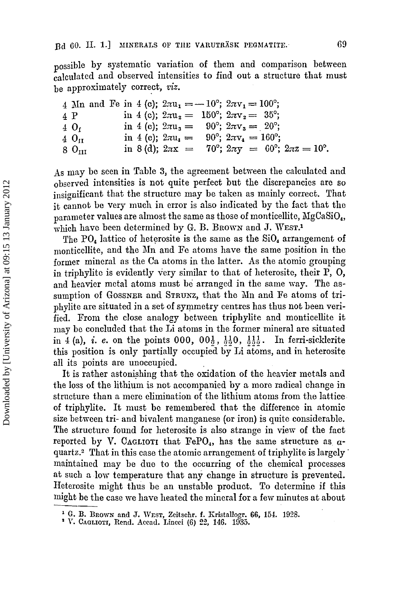possible by systematic variation **of** them and comparison between caIculated and observed intensities to find out a structure that must

be approximately correct, viz.  
\n4 Mn and Fe in 4 (c); 
$$
2\pi u_1 = -10^\circ
$$
;  $2\pi v_1 = 100^\circ$ ;  
\n4 P in 4 (c);  $2\pi u_2 = 150^\circ$ ;  $2\pi v_2 = 35^\circ$ ;  
\n4 O<sub>I</sub> in 4 (c);  $2\pi u_3 = 90^\circ$ ;  $2\pi v_3 = 20^\circ$ ;  
\n4 O<sub>II</sub> in 4 (c);  $2\pi u_4 = 90^\circ$ ;  $2\pi v_4 = 160^\circ$ ;  
\n8 O<sub>III</sub> in 8 (d);  $2\pi x = 70^\circ$ ;  $2\pi y = 60^\circ$ ;  $2\pi z = 10^\circ$ .

ds may be seen in Table **3,** the agreement between the calculated and observed intensities is not quite perfect but the discrepancies are so insignificant that the structure may be taken as mainly correct. That it cannot be very much in error is also indicated by the fact that the parameter values are almost the same as those of monticellite, NgCaSiO,, which have been determined by G. B. BROWN and J. WEST.<sup>1</sup>

The PO<sub>4</sub> lattice of heterosite is the same as the  $SiO<sub>4</sub>$  arrangement of monticellite, and the Mn and Fe atoms have the same position in the former mineral as the *Cs* atoms in the latter. As the atomic grouping in triphylite is evidently very similar to that of heterosite, their P, 0, and heavier metal atoms must be arranged in the same way. The assumption of **GOSSNER** and **STRWKZ,** that the Xn and Fe atoms of triphylite **are** situated in a set of symmetry centres has thus not been verified. From the close analogy between triphylite and monticellite it may be concluded that the Li atoms in the former mineral are situated in 4 (a), *i. e.* on the points 000,  $00\frac{1}{2}$ ,  $\frac{11}{20}$ ,  $\frac{111}{20}$ . In ferri-sicklerite this position is only partially occupied by Li atoms, and in heterosite a11 its points are unoccupied.

It is rather astonishing that the oxidation of the heavier metals and the loss of the lithium is not accompanicd by a more radical change in structure than a mere elimination **of** the lithium atoms from the lattice of triphylite. It must be remembered that the difference in atomic size between tri- and bivalent manganese (or iron) is quite considerable. The structure found for heterosite is also strange in view of the fact reported by V. CAGLIOTI that  $FePO<sub>4</sub>$ , has the same structure as  $a$ quartz.<sup>2</sup> That in this case the atomic arrangement of triphylite is largely maintained may be due to the occurring of the chemical processes at such a low temperature that any change in structure is prevented. Heterosite might thus be an unstable product. To determine if this lnight be the case me have heated the mineral for a few minutes at about

*G.* **B. BROWX and J. WEST,** Zcitschr. **f.** Kristallogr. **66. 154. 19%.** ' **I'. CAGLIOTI,** Rend. **-4ccad. Lincci** *(6)* %', **146. 1035.**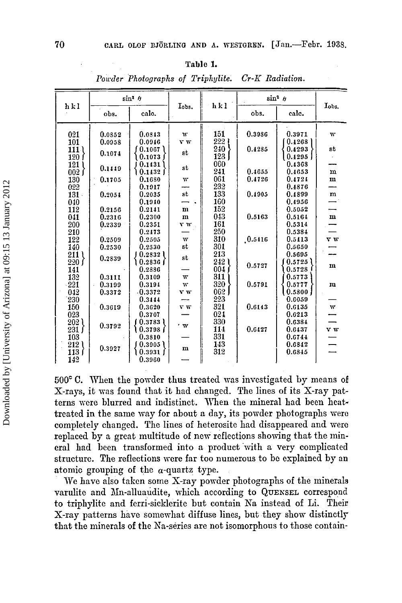### **Tnblc 1.**

| 70  |                                                                 | $\text{[Jan. -Febr. 1938]}$<br>CARL OLOF BJÖRLING AND A. WESTGREN. |                                   |             |                         |                   |                  |             |  |
|-----|-----------------------------------------------------------------|--------------------------------------------------------------------|-----------------------------------|-------------|-------------------------|-------------------|------------------|-------------|--|
|     |                                                                 |                                                                    |                                   | Table 1.    |                         | $Cr-K$ Radiation. |                  |             |  |
|     |                                                                 |                                                                    | Powder Photographs of Triphylite. |             |                         |                   |                  |             |  |
| hkl |                                                                 | $\sin^2 \theta$                                                    |                                   |             | hkl                     | $\sin^2 \theta$   |                  |             |  |
|     |                                                                 | obs.                                                               | calc.                             | Iobs.       |                         | obs.              | calc.            | Tobs.       |  |
|     | 021                                                             | 0.0352                                                             | 0.0343                            | w           | 151                     | 0.3986            | 0.3971           | w           |  |
|     | 101                                                             | 0.0958                                                             | 0.0946                            | r w         | 222                     |                   | 0.4268           |             |  |
|     | 111)<br>120 1                                                   | 0.1074                                                             | 0.1067<br>10.1073                 | st          | 240<br>123 <sub>1</sub> | 0.4285            | 0.4293<br>0.4295 | st          |  |
|     | 121 I                                                           |                                                                    | 10.1431                           |             | 060                     |                   | 0.4368           |             |  |
|     | 002 f                                                           | 0.1449                                                             | ) 0.1432 ∫                        | st          | 241                     | 0.4655            | 0.4653           | $\mathbf m$ |  |
|     | 130                                                             | 0.1705                                                             | 0.1680                            | W           | 061                     | 0.4726            | 0.4724           | $\mathbf m$ |  |
|     | 022                                                             |                                                                    | 0.1917                            | st          | $\frac{232}{133}$       | 0.4905            | 0.4876<br>0.4899 | m           |  |
|     | 131<br>040                                                      | 0.2054                                                             | 0.2035<br>0.1940                  |             | 160                     |                   | 0.4956           |             |  |
|     | 112                                                             | 0.2156                                                             | 0.2141                            | m           | 152                     |                   | 0.5052           |             |  |
|     | 041                                                             | 0.2316                                                             | 0.2300                            | $\mathbf m$ | $\frac{043}{161}$       | 0.5163            | 0.5164           | $\mathbf m$ |  |
|     | 200                                                             | 0.2339                                                             | 0.2351                            | y w         |                         |                   | 0.5314           |             |  |
|     | 210<br>122                                                      | 0.2509                                                             | 0.2473<br>0.2505                  | w           | 250<br>310              | .0.5416           | 0.5384<br>0.5413 | v w         |  |
|     | 140                                                             | 0.2530                                                             | 0.2530                            | st          | 301                     |                   | 0.5650           |             |  |
|     | 211 l                                                           |                                                                    | 1 0.2832 l                        | st          | 213                     |                   | 0.5695           |             |  |
|     | 220 f                                                           | 0.2839                                                             | ∖ 0.2836 ∫                        |             | ا 242                   | 0.5727            | 0.5725           | $\mathbf m$ |  |
|     | 141                                                             |                                                                    | 0.2886                            |             | 004 f                   |                   | 0.5728           |             |  |
|     | 132<br>$-221$                                                   | 0.3111<br>0.3199                                                   | 0.3109<br>0.3194                  | w<br>w      | 311<br>320              | 0.5791            | 0.5773<br>0.5777 | $\mathbf m$ |  |
|     | 042                                                             | 0.3372                                                             | 0.3372                            | v w         | 062                     |                   | 0.5800           |             |  |
|     | 230                                                             |                                                                    | 0.3444                            |             | 223                     |                   | 0.6059           |             |  |
|     | 150                                                             | 0.3619                                                             | 0.3620                            | v w         | 321                     | 0.6143            | 0.6135           | w           |  |
|     | 023                                                             |                                                                    | 0.3707                            |             | 024<br>330              |                   | 0.6213<br>0.6384 |             |  |
|     | $\left\{\begin{smallmatrix} 202\\231 \end{smallmatrix}\right\}$ | 0.3792                                                             | ∫0.3783 โ<br>1 0.3798 ∫           | 'W          | 114                     | 0.6127            | 0.6437           | v w         |  |
|     | 103                                                             |                                                                    | 0.3810                            |             | 331                     |                   | 0.6744           |             |  |
|     | 212 <sub>l</sub>                                                | 0.3927                                                             | (0.3905)                          | m           | 143                     |                   | 0.6842           |             |  |
|     | 113 I                                                           |                                                                    | 1 0.3931 f                        |             | 312                     |                   | 0.6845           |             |  |
|     | 142                                                             |                                                                    | 0.3960                            |             |                         |                   |                  |             |  |

*Powder Photographs of Triphylite. Cr-K Radiation.* 

**500'** C. When the powder thus treated was investigated by means of X-rays, it was found that it had changed. The lines of its X-ray patterns were blurred and indistinct. When the mineral had been heattreated in the same way for about *a* day, its powder photographs were completely changed. The lines of heterositc had disappeared and were replaced by *a* great multitude of new reflections showing that the mineral had been transformed into a product with a very complicated structure. The reflections were far too numerous to be explained by an atomic grouping of the  $\alpha$ -quartz type.

We have also taken some X-ray powder photographs of the minerals varulite and Mn-alluaudite, which according to QUENSEL correspond to triphylite and ferri-sicklerite but contain **Ea** instead of Li. Their X-ray patterns have somewhat diffuse lines, but they show distinctly that the minerals of the Nn-series **are** not isomorphous to those contain-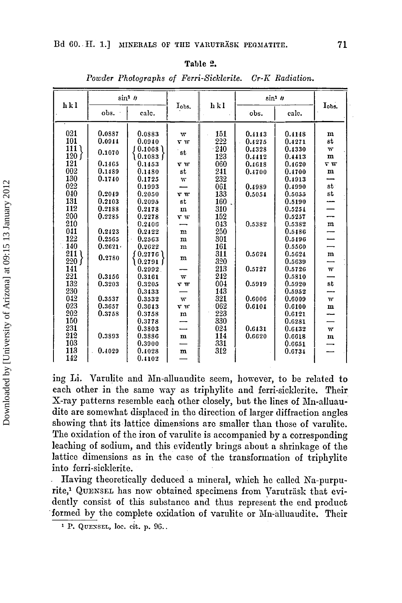#### Table 2.

| hkl          | $\sin^2 h$ |                 |                         | hkl    | $\sin^2 \theta$ |        | Iobs.                   |
|--------------|------------|-----------------|-------------------------|--------|-----------------|--------|-------------------------|
|              | obs.       | calc.           | Iobs.                   |        | obs.            | calc.  |                         |
| 021          |            |                 |                         |        |                 |        |                         |
|              | 0.0887     | 0.0883          | w                       | 151    | 0.4143          | 0.4148 | m                       |
| 101          | 0.0944     | 0.0940          | V W                     | 222    | 0.4275          | 0.4271 | st                      |
| 111 (        | 0.1070     | 0.1068          | st                      | $-240$ | 0.4328          | 0.4330 | $\mathbf{W}$            |
| 120 f<br>121 |            | $0.1083$ $\int$ |                         | 123    | 0.4412          | 0.4413 | $\mathbf m$             |
|              | 0.1465     | 0.1453          | v w                     | 060    | 0.4618          | 0.4620 | $\mathbf{v} \mathbf{w}$ |
| 002          | 0.1489     | 0.1480          | st                      | 241    | 0.4700          | 0.4700 | $\mathbf m$             |
| 130          | 0.1740     | 0.1725          | W                       | 232    |                 | 0.4913 |                         |
| 022          |            | 0.1993          |                         | 061    | 0.4989          | 0.4990 | st                      |
| 040          | 0.2049     | 0.2050          | v w                     | 133    | 0.5054          | 0.5055 | st                      |
| 131          | 0.2103     | 0.2095          | st                      | 160    |                 | 0.5190 |                         |
| 112          | 0.2188     | 0.2178          | $\mathbf m$             | 310    |                 | 0.5254 |                         |
| 200          | 0.2285     | 0.2278          | V W                     | 152    |                 | 0.5257 |                         |
| 210          |            | 0.2406          |                         | 043    | 0.5382          | 0.5382 | $\mathbf m$             |
| 041          | 0.2423     | 0.2422          | $\mathbf{m}$            | 250    |                 | 0.5486 |                         |
| 122          | 0.2565     | 0.2563          | m                       | 301    |                 | 0.5496 |                         |
| 140          | 0.2621     | 0.2622          | m                       | 161    |                 | 0.5560 |                         |
| 211 l        | 0.2780     | 0.2776          | m                       | 311    | 0.5624          | 0.5624 | m                       |
| 220 f        |            | ) 0.2791 J      |                         | 320    |                 | 0.5639 |                         |
| 141          |            | 0.2992          |                         | 213    | 0.5727          | 0.5726 | w                       |
| 221          | 0.3156     | 0.3161          | $\overline{\mathbf{w}}$ | 242    |                 | 0.5810 |                         |
| 132          | 0.3203     | 0.3205          | v w                     | 004    | 0.5919          | 0.5920 | st                      |
| 230          |            | 0.3433          |                         | 143    |                 | 0.5952 |                         |
| 042          | 0.3537     | 0.3532          | w                       | 321    | 0.6006          | 0.6009 | $\overline{\mathbf{W}}$ |
| 023          | 0.3657     | 0.3643          | v w                     | 062    | 0.6104          | 0.6100 | $\mathbf m$             |
| 202          | 0.3758     | 0.3758          | $\mathbf m$             | 223    |                 | 0.6121 |                         |
| 150          |            | 0.3778          |                         | 330    |                 | 0.6281 |                         |
| 231          |            | 0.3803          |                         | 024    | 0.6431          | 0.6432 | $\overline{W}$          |
| 212          | 0.3893     | 0.3886          | $\mathbf{m}$            | 114    | 0.6620          | 0.6618 | $\mathbf m$             |
| 103          |            | 0.3900          |                         | 331    |                 | 0.6651 |                         |
| 113          | 0.4029     | 0.4028          | $\mathbf m$             | 312    |                 | 0.6734 |                         |
| 142          |            | 0.4102          |                         |        |                 |        |                         |

Powder Photographs of Ferri-Sicklerite. Cr-K Radiation.

ing Li. Varulite and Mn-alluaudite seem, however, to be related to each other in the same way as triphylite and ferri-sicklerite. Their X-ray patterns resemble each other closely, but the lines of Mn-alluaudite are somewhat displaced in the direction of larger diffraction angles showing that its lattice dimensions are smaller than those of varulite. The oxidation of the iron of varulite is accompanied by a corresponding leaching of sodium, and this evidently brings about a shrinkage of the lattice dimensions as in the case of the transformation of triphylite into ferri-sicklerite.

Having theoretically deduced a mineral, which he called Na-purpurite,<sup>1</sup> QUENSEL has now obtained specimens from Varuträsk that evidently consist of this substance and thus represent the end product formed by the complete oxidation of varulite or Mn-alluaudite. Their

<sup>&</sup>lt;sup>1</sup> P. QUENSEL, loc. cit. p. 96..